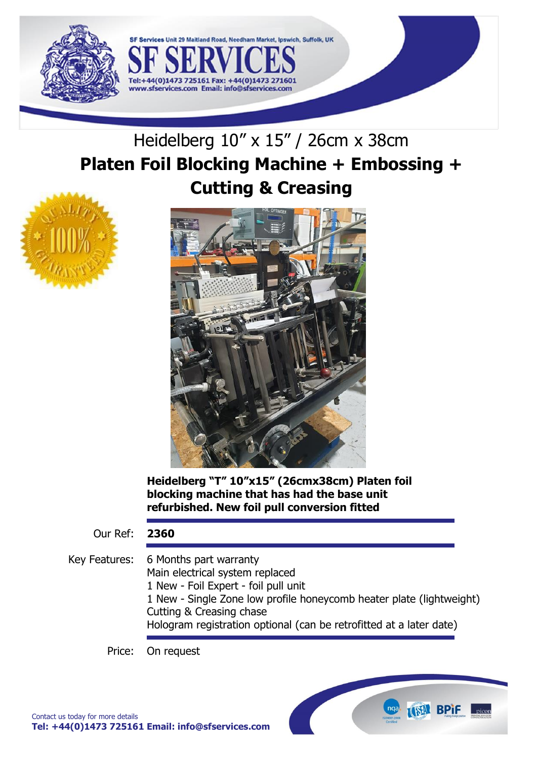

# Heidelberg 10" x 15" / 26cm x 38cm **Platen Foil Blocking Machine + Embossing + Cutting & Creasing**

29 Maitland Road, Needham Market, Ipswich, Suffolk, UK

Fel:+44(0)1473 725161 Fax: +

www.sfservices.com Email: info@sfservices.com



**Heidelberg "T" 10"x15" (26cmx38cm) Platen foil blocking machine that has had the base unit refurbished. New foil pull conversion fitted** 

Our Ref: **2360**

Key Features: 6 Months part warranty Main electrical system replaced 1 New - Foil Expert - foil pull unit 1 New - Single Zone low profile honeycomb heater plate (lightweight) Cutting & Creasing chase Hologram registration optional (can be retrofitted at a later date)

**ISSN BPIF** picon

Price: On request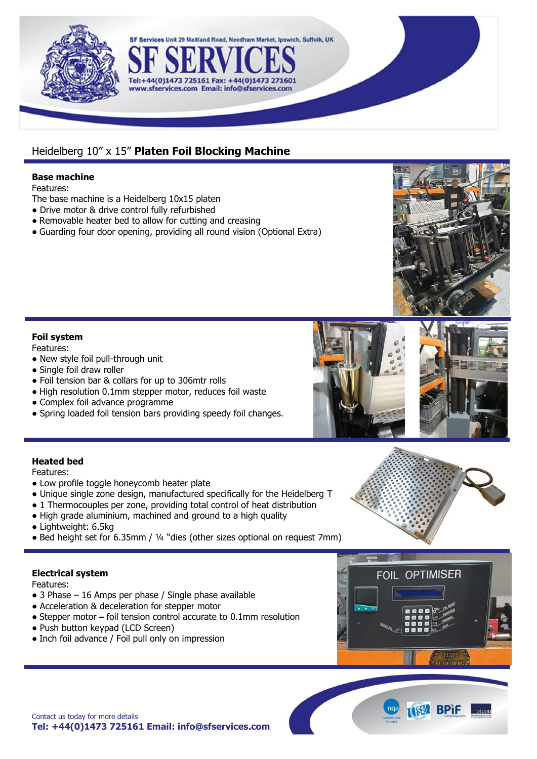

## Heidelberg 10" x 15" **Platen Foil Blocking Machine**

Tel:+44(0)1473 725161 Fax: +

SF Services Unit 29 Maitland Road, Needham Market, Ipswich, Suffolk, UK

www.sfservices.com Email: info@sfservices.com

### **Base machine**

Features:

- The base machine is a Heidelberg 10x15 platen
- **•** Drive motor & drive control fully refurbished
- **•** Removable heater bed to allow for cutting and creasing
- **•** Guarding four door opening, providing all round vision (Optional Extra)

## **Foil system**

Features:

- **•** New style foil pull-through unit
- **•** Single foil draw roller
- **•** Foil tension bar & collars for up to 306mtr rolls
- **•** High resolution 0.1mm stepper motor, reduces foil waste
- **•** Complex foil advance programme
- **•** Spring loaded foil tension bars providing speedy foil changes.





## **Heated bed**

Features:

- **•** Low profile toggle honeycomb heater plate
- **•** Unique single zone design, manufactured specifically for the Heidelberg T
- **•** 1 Thermocouples per zone, providing total control of heat distribution
- **•** High grade aluminium, machined and ground to a high quality
- **•** Lightweight: 6.5kg
- **•** Bed height set for 6.35mm / ¼ "dies (other sizes optional on request 7mm)

## **Electrical system**

Features:

- **•** 3 Phase 16 Amps per phase / Single phase available
- **•** Acceleration & deceleration for stepper motor
- Stepper motor **–** foil tension control accurate to 0.1mm resolution
- **•** Push button keypad (LCD Screen)
- **•** Inch foil advance / Foil pull only on impression



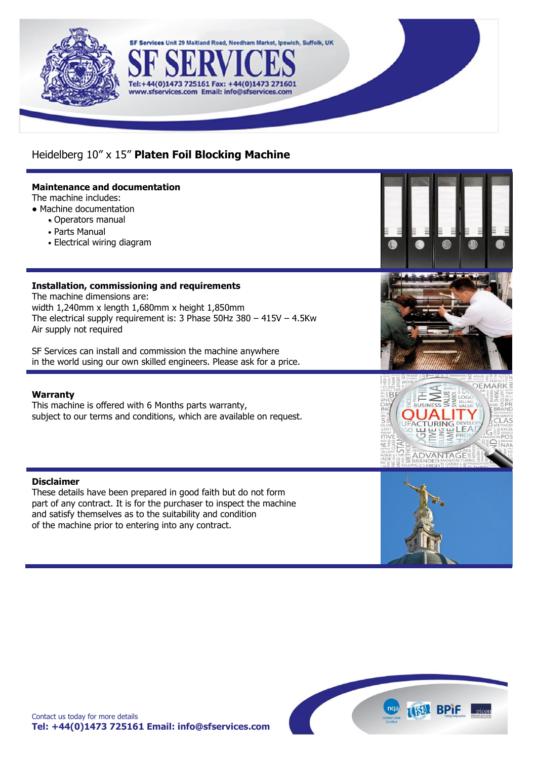

## Heidelberg 10" x 15" **Platen Foil Blocking Machine**

SF Services Unit 29 Maitland Road, Needham Market, Ipswich, Suffolk, UK

Tel:+44(0)1473 725161 Fax: +44(0)1473 271601 www.sfservices.com Email: info@sfservices.com

### **Maintenance and documentation**

The machine includes:

- **•** Machine documentation
	- Operators manual
	- Parts Manual
	- Electrical wiring diagram

## **Installation, commissioning and requirements**

The machine dimensions are: width 1,240mm x length 1,680mm x height 1,850mm The electrical supply requirement is: 3 Phase 50Hz 380 – 415V – 4.5Kw Air supply not required

SF Services can install and commission the machine anywhere in the world using our own skilled engineers. Please ask for a price.

### **Warranty**

This machine is offered with 6 Months parts warranty, subject to our terms and conditions, which are available on request.

### **Disclaimer**

These details have been prepared in good faith but do not form part of any contract. It is for the purchaser to inspect the machine and satisfy themselves as to the suitability and condition of the machine prior to entering into any contract.